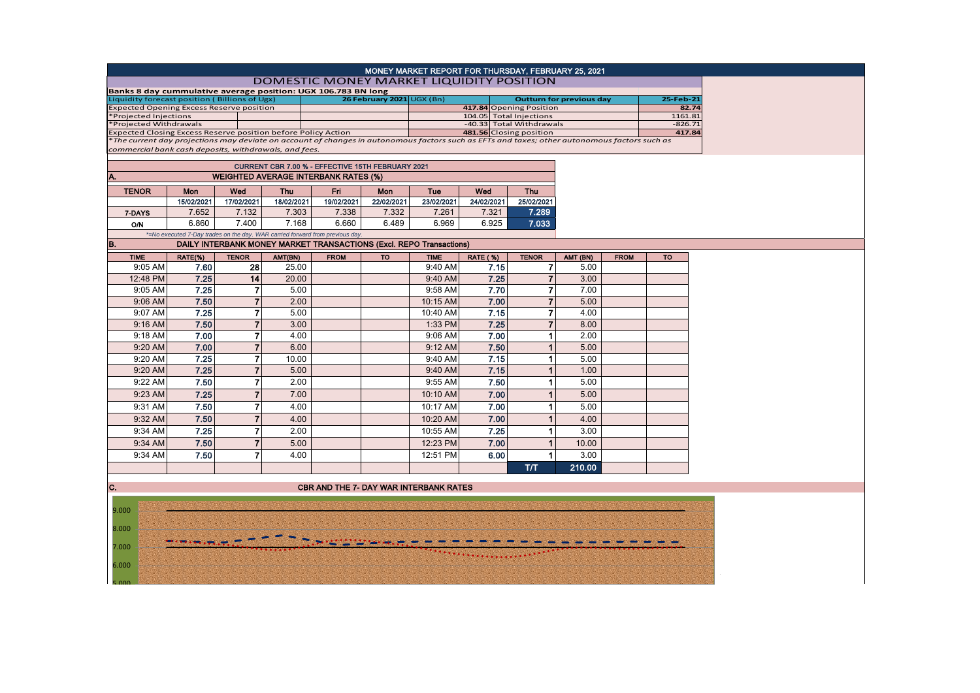|                                                                                                                                               |            |                |            |                                                                               |                           |             |                 | MONEY MARKET REPORT FOR THURSDAY, FEBRUARY 25, 2021 |                                 |             |           |
|-----------------------------------------------------------------------------------------------------------------------------------------------|------------|----------------|------------|-------------------------------------------------------------------------------|---------------------------|-------------|-----------------|-----------------------------------------------------|---------------------------------|-------------|-----------|
|                                                                                                                                               |            |                |            |                                                                               |                           |             |                 | DOMESTIC MONEY MARKET LIQUIDITY POSITION            |                                 |             |           |
| Banks 8 day cummulative average position: UGX 106.783 BN long                                                                                 |            |                |            |                                                                               |                           |             |                 |                                                     |                                 |             | 25-Feb-21 |
| Liquidity forecast position (Billions of Ugx)<br><b>Expected Opening Excess Reserve position</b>                                              |            |                |            |                                                                               | 26 February 2021 UGX (Bn) |             |                 | 417.84 Opening Position                             | <b>Outturn for previous day</b> |             | 82.74     |
| *Projected Injections                                                                                                                         |            |                |            |                                                                               |                           |             |                 | 104.05 Total Injections                             |                                 |             | 1161.81   |
| *Projected Withdrawals                                                                                                                        |            |                |            |                                                                               |                           |             |                 | -40.33 Total Withdrawals                            |                                 |             | $-826.71$ |
| Expected Closing Excess Reserve position before Policy Action                                                                                 |            |                |            |                                                                               |                           |             |                 | 481.56 Closing position                             |                                 |             | 417.84    |
| *The current day projections may deviate on account of changes in autonomous factors such as EFTs and taxes; other autonomous factors such as |            |                |            |                                                                               |                           |             |                 |                                                     |                                 |             |           |
| commercial bank cash deposits, withdrawals, and fees.                                                                                         |            |                |            |                                                                               |                           |             |                 |                                                     |                                 |             |           |
|                                                                                                                                               |            |                |            | CURRENT CBR 7.00 % - EFFECTIVE 15TH FEBRUARY 2021                             |                           |             |                 |                                                     |                                 |             |           |
| A.                                                                                                                                            |            |                |            | <b>WEIGHTED AVERAGE INTERBANK RATES (%)</b>                                   |                           |             |                 |                                                     |                                 |             |           |
|                                                                                                                                               |            |                |            |                                                                               |                           |             |                 |                                                     |                                 |             |           |
| <b>TENOR</b>                                                                                                                                  | Mon        | Wed            | <b>Thu</b> | Fri                                                                           | Mon                       | Tue         | Wed             | <b>Thu</b>                                          |                                 |             |           |
|                                                                                                                                               | 15/02/2021 | 17/02/2021     | 18/02/2021 | 19/02/2021                                                                    | 22/02/2021                | 23/02/2021  | 24/02/2021      | 25/02/2021                                          |                                 |             |           |
| 7-DAYS                                                                                                                                        | 7.652      | 7.132          | 7.303      | 7.338                                                                         | 7.332                     | 7.261       | 7.321           | 7.289                                               |                                 |             |           |
| O/N                                                                                                                                           | 6.860      | 7.400          | 7.168      | 6.660                                                                         | 6.489                     | 6.969       | 6.925           | 7.033                                               |                                 |             |           |
|                                                                                                                                               |            |                |            | *=No executed 7-Day trades on the day. WAR carried forward from previous day. |                           |             |                 |                                                     |                                 |             |           |
| B.                                                                                                                                            |            |                |            | <b>DAILY INTERBANK MONEY MARKET TRANSACTIONS (Excl. REPO Transactions)</b>    |                           |             |                 |                                                     |                                 |             |           |
| <b>TIME</b>                                                                                                                                   | RATE(%)    | <b>TENOR</b>   | AMT(BN)    | <b>FROM</b>                                                                   | <b>TO</b>                 | <b>TIME</b> | <b>RATE (%)</b> | <b>TENOR</b>                                        | AMT (BN)                        | <b>FROM</b> | <b>TO</b> |
| 9:05 AM                                                                                                                                       | 7.60       | 28             | 25.00      |                                                                               |                           | 9:40 AM     | 7.15            | $\overline{7}$                                      | 5.00                            |             |           |
| 12:48 PM                                                                                                                                      | 7.25       | 14             | 20.00      |                                                                               |                           | 9:40 AM     | 7.25            | $\overline{7}$                                      | 3.00                            |             |           |
| 9:05 AM                                                                                                                                       | 7.25       | $\overline{7}$ | 5.00       |                                                                               |                           | 9:58 AM     | 7.70            | $\overline{7}$                                      | 7.00                            |             |           |
| 9:06 AM                                                                                                                                       | 7.50       | $\overline{7}$ | 2.00       |                                                                               |                           | 10:15 AM    | 7.00            | $\overline{7}$                                      | 5.00                            |             |           |
| 9:07 AM                                                                                                                                       | 7.25       | $\overline{7}$ | 5.00       |                                                                               |                           | 10:40 AM    | 7.15            | $\overline{7}$                                      | 4.00                            |             |           |
|                                                                                                                                               | 7.50       | $\overline{7}$ |            |                                                                               |                           | 1:33 PM     | 7.25            | $\overline{7}$                                      | 8.00                            |             |           |
| 9:16 AM                                                                                                                                       |            |                | 3.00       |                                                                               |                           |             |                 |                                                     |                                 |             |           |
| 9:18 AM                                                                                                                                       | 7.00       | $\overline{7}$ | 4.00       |                                                                               |                           | 9:06 AM     | 7.00            | 1.                                                  | 2.00                            |             |           |
| 9:20 AM                                                                                                                                       | 7.00       | $\overline{7}$ | 6.00       |                                                                               |                           | 9:12 AM     | 7.50            | 1                                                   | 5.00                            |             |           |
| 9:20 AM                                                                                                                                       | 7.25       | $\overline{7}$ | 10.00      |                                                                               |                           | 9:40 AM     | 7.15            | $\mathbf{1}$                                        | 5.00                            |             |           |
| 9:20 AM                                                                                                                                       | 7.25       | $\overline{7}$ | 5.00       |                                                                               |                           | 9:40 AM     | 7.15            | 1                                                   | 1.00                            |             |           |
| 9:22 AM                                                                                                                                       | 7.50       | $\overline{7}$ | 2.00       |                                                                               |                           | 9:55 AM     | 7.50            | 1                                                   | 5.00                            |             |           |
| 9:23 AM                                                                                                                                       | 7.25       | $\overline{7}$ | 7.00       |                                                                               |                           | 10:10 AM    | 7.00            | 1                                                   | 5.00                            |             |           |
| 9:31 AM                                                                                                                                       | 7.50       | $\overline{7}$ | 4.00       |                                                                               |                           | 10:17 AM    | 7.00            | 1                                                   | 5.00                            |             |           |
| 9:32 AM                                                                                                                                       | 7.50       | $\overline{7}$ | 4.00       |                                                                               |                           | 10:20 AM    | 7.00            | $\mathbf{1}$                                        | 4.00                            |             |           |
| 9:34 AM                                                                                                                                       | 7.25       | $\overline{7}$ | 2.00       |                                                                               |                           | 10:55 AM    | 7.25            | 1.                                                  | 3.00                            |             |           |
|                                                                                                                                               |            | $\overline{7}$ |            |                                                                               |                           |             |                 |                                                     |                                 |             |           |
| 9:34 AM                                                                                                                                       | 7.50       |                | 5.00       |                                                                               |                           | 12:23 PM    | 7.00            | $\mathbf{1}$                                        | 10.00                           |             |           |
| 9:34 AM                                                                                                                                       | 7.50       | 7              | 4.00       |                                                                               |                           | 12:51 PM    | 6.00            | $\blacktriangleleft$                                | 3.00                            |             |           |
|                                                                                                                                               |            |                |            |                                                                               |                           |             |                 | T/T                                                 | 210.00                          |             |           |
|                                                                                                                                               |            |                |            |                                                                               |                           |             |                 |                                                     |                                 |             |           |
| C.                                                                                                                                            |            |                |            | <b>CBR AND THE 7- DAY WAR INTERBANK RATES</b>                                 |                           |             |                 |                                                     |                                 |             |           |
|                                                                                                                                               |            |                |            |                                                                               |                           |             |                 |                                                     |                                 |             |           |
| 9.000                                                                                                                                         |            |                |            |                                                                               |                           |             |                 |                                                     |                                 |             |           |
|                                                                                                                                               |            |                |            |                                                                               |                           |             |                 |                                                     |                                 |             |           |
| 8.000                                                                                                                                         |            |                |            |                                                                               |                           |             |                 |                                                     |                                 |             |           |
| 7.000                                                                                                                                         |            |                |            |                                                                               |                           |             |                 |                                                     |                                 |             |           |

 $6.000$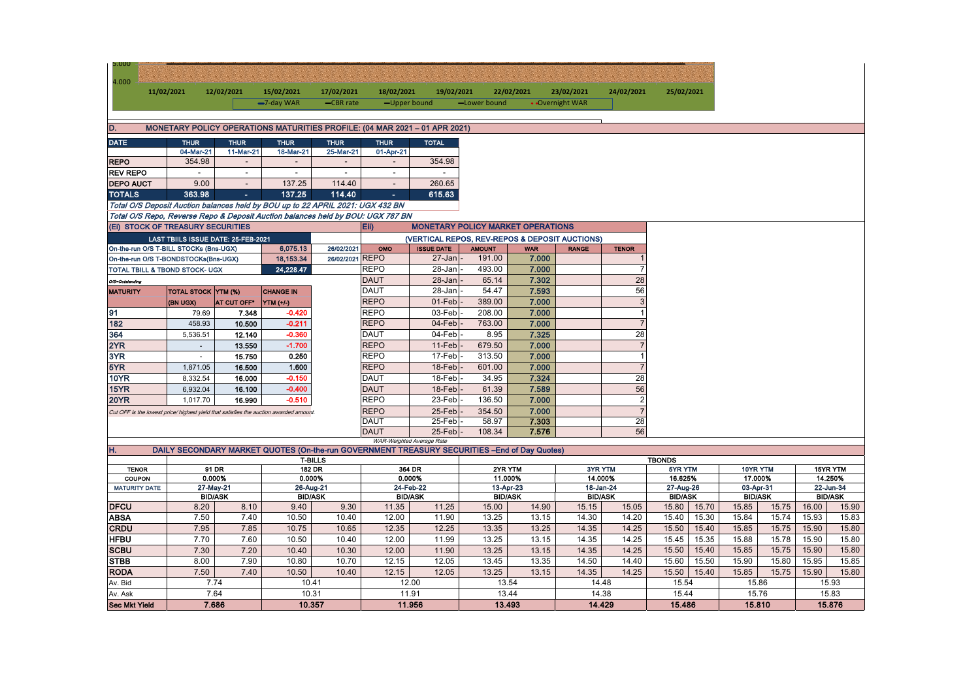| <b>5.000</b>                                                                         |                     |                                     |                        |                                 |                          |                                                                                               |                         |                     |                 |                                |                          |       |                |       |                |                |
|--------------------------------------------------------------------------------------|---------------------|-------------------------------------|------------------------|---------------------------------|--------------------------|-----------------------------------------------------------------------------------------------|-------------------------|---------------------|-----------------|--------------------------------|--------------------------|-------|----------------|-------|----------------|----------------|
| 4.000                                                                                |                     |                                     |                        |                                 |                          |                                                                                               |                         |                     |                 |                                |                          |       |                |       |                |                |
|                                                                                      | 11/02/2021          | 12/02/2021                          | 15/02/2021             | 17/02/2021                      | 18/02/2021               | 19/02/2021                                                                                    |                         | 22/02/2021          | 23/02/2021      | 24/02/2021                     | 25/02/2021               |       |                |       |                |                |
|                                                                                      |                     |                                     | -7-day WAR             | -CBR rate                       | -Upper bound             |                                                                                               | -Lower bound            |                     | • Overnight WAR |                                |                          |       |                |       |                |                |
|                                                                                      |                     |                                     |                        |                                 |                          |                                                                                               |                         |                     |                 |                                |                          |       |                |       |                |                |
| D.                                                                                   |                     |                                     |                        |                                 |                          | MONETARY POLICY OPERATIONS MATURITIES PROFILE: (04 MAR 2021 - 01 APR 2021)                    |                         |                     |                 |                                |                          |       |                |       |                |                |
| <b>DATE</b>                                                                          | <b>THUR</b>         | <b>THUR</b>                         | <b>THUR</b>            | <b>THUR</b>                     | <b>THUR</b>              | <b>TOTAL</b>                                                                                  |                         |                     |                 |                                |                          |       |                |       |                |                |
|                                                                                      | 04-Mar-21           | 11-Mar-21                           | 18-Mar-21              | 25-Mar-21                       | 01-Apr-21                |                                                                                               |                         |                     |                 |                                |                          |       |                |       |                |                |
| <b>REPO</b>                                                                          | 354.98              |                                     |                        |                                 |                          | 354.98                                                                                        |                         |                     |                 |                                |                          |       |                |       |                |                |
| <b>REV REPO</b>                                                                      |                     | $\overline{\phantom{a}}$            |                        | $\overline{a}$                  | $\overline{\phantom{a}}$ |                                                                                               |                         |                     |                 |                                |                          |       |                |       |                |                |
| <b>DEPO AUCT</b>                                                                     | 9.00                | $\overline{\phantom{a}}$            | 137.25                 | 114.40                          | $\overline{a}$           | 260.65                                                                                        |                         |                     |                 |                                |                          |       |                |       |                |                |
| <b>TOTALS</b>                                                                        | 363.98              | $\sim$                              | 137.25                 | 114.40                          |                          | 615.63                                                                                        |                         |                     |                 |                                |                          |       |                |       |                |                |
| Total O/S Deposit Auction balances held by BOU up to 22 APRIL 2021: UGX 432 BN       |                     |                                     |                        |                                 |                          |                                                                                               |                         |                     |                 |                                |                          |       |                |       |                |                |
| Total O/S Repo, Reverse Repo & Deposit Auction balances held by BOU: UGX 787 BN      |                     |                                     |                        |                                 |                          |                                                                                               |                         |                     |                 |                                |                          |       |                |       |                |                |
| (Ei) STOCK OF TREASURY SECURITIES                                                    |                     |                                     |                        |                                 | Eii)                     | <b>MONETARY POLICY MARKET OPERATIONS</b>                                                      |                         |                     |                 |                                |                          |       |                |       |                |                |
|                                                                                      |                     | LAST TBIILS ISSUE DATE: 25-FEB-2021 |                        |                                 |                          | (VERTICAL REPOS, REV-REPOS & DEPOSIT AUCTIONS)                                                |                         |                     |                 |                                |                          |       |                |       |                |                |
| On-the-run O/S T-BILL STOCKs (Bns-UGX)                                               |                     |                                     | 6,075.13               | 26/02/2021<br>26/02/2021 REPO   | OMO                      | <b>ISSUE DATE</b><br>27-Jan                                                                   | <b>AMOUNT</b><br>191.00 | <b>WAR</b><br>7.000 | <b>RANGE</b>    | <b>TENOR</b><br>$\overline{1}$ |                          |       |                |       |                |                |
| On-the-run O/S T-BONDSTOCKs(Bns-UGX)                                                 |                     |                                     | 18,153.34<br>24.228.47 |                                 | <b>REPO</b>              | 28-Jan                                                                                        | 493.00                  | 7.000               |                 | $\overline{7}$                 |                          |       |                |       |                |                |
| TOTAL TBILL & TBOND STOCK- UGX                                                       |                     |                                     |                        |                                 | <b>DAUT</b>              |                                                                                               | 65.14                   | 7.302               |                 | 28                             |                          |       |                |       |                |                |
| O/S=Outstanding<br><b>MATURITY</b>                                                   |                     |                                     | <b>CHANGE IN</b>       |                                 | <b>DAUT</b>              | 28-Jan<br>28-Jan                                                                              | 54.47                   | 7.593               |                 | 56                             |                          |       |                |       |                |                |
|                                                                                      | TOTAL STOCK YTM (%) | AT CUT OFF*                         |                        |                                 | <b>REPO</b>              | 01-Feb                                                                                        | 389.00                  | 7.000               |                 | $\mathbf{3}$                   |                          |       |                |       |                |                |
| 91                                                                                   | (BN UGX)<br>79.69   | 7.348                               | YTM (+/-)<br>$-0.420$  |                                 | <b>REPO</b>              | 03-Feb                                                                                        | 208.00                  | 7.000               |                 | $\mathbf{1}$                   |                          |       |                |       |                |                |
| 182                                                                                  | 458.93              | 10.500                              | $-0.211$               |                                 | <b>REPO</b>              | 04-Feb                                                                                        | 763.00                  | 7.000               |                 | $\overline{7}$                 |                          |       |                |       |                |                |
| 364                                                                                  | 5,536.51            | 12.140                              | $-0.360$               |                                 | <b>DAUT</b>              | 04-Feb                                                                                        | 8.95                    | 7.325               |                 | 28                             |                          |       |                |       |                |                |
| 2YR                                                                                  | $\sim$              | 13.550                              | $-1.700$               |                                 | <b>REPO</b>              | $11-Feb$                                                                                      | 679.50                  | 7.000               |                 | $\overline{7}$                 |                          |       |                |       |                |                |
| 3YR                                                                                  | $\blacksquare$      | 15.750                              | 0.250                  |                                 | <b>REPO</b>              | 17-Feb                                                                                        | 313.50                  | 7.000               |                 | $\overline{1}$                 |                          |       |                |       |                |                |
| 5YR                                                                                  | 1,871.05            | 16.500                              | 1.600                  |                                 | <b>REPO</b>              | 18-Feb                                                                                        | 601.00                  | 7.000               |                 | $\overline{7}$                 |                          |       |                |       |                |                |
| <b>10YR</b>                                                                          | 8,332.54            | 16.000                              | $-0.150$               |                                 | <b>DAUT</b>              | 18-Feb                                                                                        | 34.95                   | 7.324               |                 | 28                             |                          |       |                |       |                |                |
| 15YR                                                                                 | 6.932.04            | 16.100                              | $-0.400$               |                                 | <b>DAUT</b>              | 18-Feb                                                                                        | 61.39                   | 7.589               |                 | 56                             |                          |       |                |       |                |                |
| <b>20YR</b>                                                                          | 1,017.70            | 16.990                              | $-0.510$               |                                 | <b>REPO</b>              | 23-Feb                                                                                        | 136.50                  | 7.000               |                 | $\overline{2}$                 |                          |       |                |       |                |                |
| Cut OFF is the lowest price/ highest yield that satisfies the auction awarded amount |                     |                                     |                        |                                 | <b>REPO</b>              | 25-Feb                                                                                        | 354.50                  | 7.000               |                 | $\overline{7}$                 |                          |       |                |       |                |                |
|                                                                                      |                     |                                     |                        |                                 | DAUT                     | 25-Feb                                                                                        | 58.97                   | 7.303               |                 | 28                             |                          |       |                |       |                |                |
|                                                                                      |                     |                                     |                        |                                 | <b>DAUT</b>              | $25$ -Feb                                                                                     | 108.34                  | 7.576               |                 | 56                             |                          |       |                |       |                |                |
|                                                                                      |                     |                                     |                        |                                 |                          | WAR-Weighted Average Rate                                                                     |                         |                     |                 |                                |                          |       |                |       |                |                |
| H.                                                                                   |                     |                                     |                        |                                 |                          | DAILY SECONDARY MARKET QUOTES (On-the-run GOVERNMENT TREASURY SECURITIES - End of Day Quotes) |                         |                     |                 |                                |                          |       |                |       |                |                |
| <b>TENOR</b>                                                                         |                     | 91 DR                               |                        | <b>T-BILLS</b><br><b>182 DR</b> | 364 DR                   |                                                                                               | 2YR YTM                 |                     | 3YR YTM         |                                | <b>TBONDS</b><br>5YR YTM |       | 10YR YTM       |       | 15YR YTM       |                |
| COUPON                                                                               |                     | 0.000%                              |                        | 0.000%                          | 0.000%                   |                                                                                               | 11.000%                 |                     | 14.000%         |                                | 16.625%                  |       | 17.000%        |       | 14.250%        |                |
| <b>MATURITY DATE</b>                                                                 |                     | 27-May-21                           | 26-Aug-21              |                                 | 24-Feb-22                |                                                                                               | 13-Apr-23               |                     | 18-Jan-24       |                                | 27-Aug-26                |       | 03-Apr-31      |       | 22-Jun-34      |                |
|                                                                                      |                     | <b>BID/ASK</b>                      |                        | <b>BID/ASK</b>                  | <b>BID/ASK</b>           |                                                                                               | <b>BID/ASK</b>          |                     | <b>BID/ASK</b>  |                                | <b>BID/ASK</b>           |       | <b>BID/ASK</b> |       |                | <b>BID/ASK</b> |
| <b>DFCU</b>                                                                          | 8.20                | 8.10                                | 9.40                   | 9.30                            | 11.35                    | 11.25                                                                                         | 15.00                   | 14.90               | 15.15           | 15.05                          | 15.80                    | 15.70 | 15.85          | 15.75 | 16.00          | 15.90          |
| <b>ABSA</b>                                                                          | 7.50                | 7.40                                | 10.50                  | 10.40                           | 12.00                    | 11.90                                                                                         | 13.25                   | 13.15               | 14.30           | 14.20                          | 15.40                    | 15.30 | 15.84          | 15.74 | 15.93          | 15.83          |
| <b>CRDU</b>                                                                          | 7.95                | 7.85                                | 10.75                  | 10.65                           | 12.35                    | 12.25                                                                                         | 13.35                   | 13.25               | 14.35           | 14.25                          | 15.50                    | 15.40 | 15.85          | 15.75 | 15.90          | 15.80          |
| <b>HFBU</b>                                                                          | 7.70                | 7.60                                | 10.50                  | 10.40                           | 12.00                    | 11.99                                                                                         | 13.25                   | 13.15               | 14.35           | 14.25                          | 15.45                    | 15.35 | 15.88          | 15.78 | 15.90          | 15.80          |
| <b>SCBU</b>                                                                          | 7.30                | 7.20                                | 10.40                  | 10.30                           | 12.00                    | 11.90                                                                                         | 13.25                   | 13.15               | 14.35           | 14.25                          | 15.50                    | 15.40 | 15.85          | 15.75 | 15.90          | 15.80          |
| <b>STBB</b>                                                                          | 8.00                | 7.90                                | 10.80                  | 10.70                           | 12.15                    | 12.05                                                                                         | 13.45                   | 13.35               | 14.50           | 14.40                          | 15.60                    | 15.50 | 15.90          | 15.80 | 15.95          | 15.85          |
| <b>RODA</b>                                                                          | 7.50                | 7.40                                | 10.50                  | 10.40                           | 12.15                    | 12.05                                                                                         | 13.25                   | 13.15               | 14.35           | 14.25                          | 15.50                    | 15.40 | 15.85          | 15.75 | 15.90          | 15.80          |
| Av. Bid                                                                              |                     | 7.74<br>7.64                        | 10.31                  | 10.41                           | 11.91                    | 12.00                                                                                         | 13.54<br>13.44          |                     | 14.48<br>14.38  |                                | 15.54<br>15.44           |       | 15.86<br>15.76 |       | 15.93<br>15.83 |                |
| Av. Ask<br><b>Sec Mkt Yield</b>                                                      |                     | 7.686                               |                        | 10.357                          |                          | 11.956                                                                                        | 13.493                  |                     | 14.429          |                                | 15.486                   |       | 15.810         |       |                | 15.876         |
|                                                                                      |                     |                                     |                        |                                 |                          |                                                                                               |                         |                     |                 |                                |                          |       |                |       |                |                |